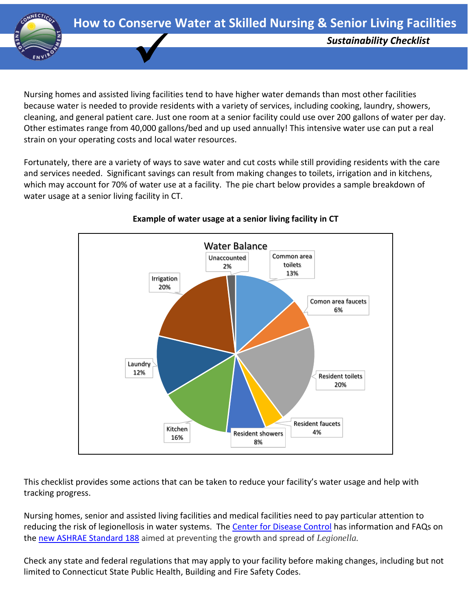

Nursing homes and assisted living facilities tend to have higher water demands than most other facilities because water is needed to provide residents with a variety of services, including cooking, laundry, showers, cleaning, and general patient care. Just one room at a senior facility could use over 200 gallons of water per day. Other estimates range from 40,000 gallons/bed and up used annually! This intensive water use can put a real strain on your operating costs and local water resources.

Fortunately, there are a variety of ways to save water and cut costs while still providing residents with the care and services needed. Significant savings can result from making changes to toilets, irrigation and in kitchens, which may account for 70% of water use at a facility. The pie chart below provides a sample breakdown of water usage at a senior living facility in CT.



## **Example of water usage at a senior living facility in CT**

This checklist provides some actions that can be taken to reduce your facility's water usage and help with tracking progress.

Nursing homes, senior and assisted living facilities and medical facilities need to pay particular attention to reducing the risk of legionellosis in water systems. The [Center for Disease Control](https://www.cdc.gov/legionella/health-depts/ashrae-faqs.html) has information and FAQs on the [new ASHRAE Standard 188](https://www.cdc.gov/legionella/health-depts/ashrae-faqs.html) aimed at preventing the growth and spread of *Legionella.* 

Check any state and federal regulations that may apply to your facility before making changes, including but not limited to Connecticut State Public Health, Building and Fire Safety Codes.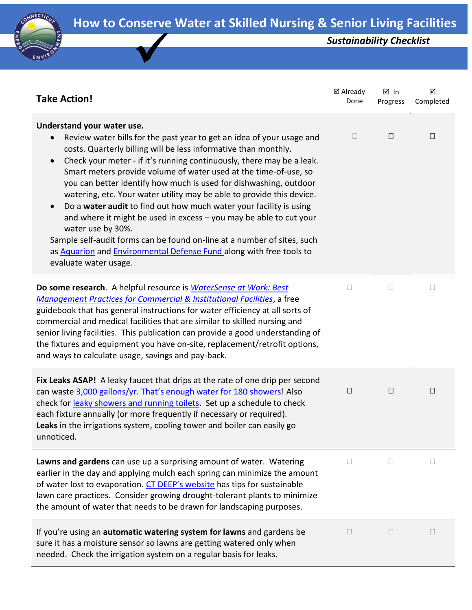

| <b>Take Action!</b>                                                                                                                                                                                                                                                                                                                                                                                                                                                                                                                                                                                                                                                                                                                                                                                           | ⊠ Already<br>Done        | ⊠ In<br>Progress | ☑<br>Completed |
|---------------------------------------------------------------------------------------------------------------------------------------------------------------------------------------------------------------------------------------------------------------------------------------------------------------------------------------------------------------------------------------------------------------------------------------------------------------------------------------------------------------------------------------------------------------------------------------------------------------------------------------------------------------------------------------------------------------------------------------------------------------------------------------------------------------|--------------------------|------------------|----------------|
| Understand your water use.<br>Review water bills for the past year to get an idea of your usage and<br>costs. Quarterly billing will be less informative than monthly.<br>Check your meter - if it's running continuously, there may be a leak.<br>Smart meters provide volume of water used at the time-of-use, so<br>you can better identify how much is used for dishwashing, outdoor<br>watering, etc. Your water utility may be able to provide this device.<br>Do a water audit to find out how much water your facility is using<br>and where it might be used in excess - you may be able to cut your<br>water use by 30%.<br>Sample self-audit forms can be found on-line at a number of sites, such<br>as Aquarion and Environmental Defense Fund along with free tools to<br>evaluate water usage. | $\overline{\phantom{a}}$ | $\Box$           | $\Box$         |
| Do some research. A helpful resource is <i>WaterSense at Work: Best</i><br><b>Management Practices for Commercial &amp; Institutional Facilities, a free</b><br>guidebook that has general instructions for water efficiency at all sorts of<br>commercial and medical facilities that are similar to skilled nursing and<br>senior living facilities. This publication can provide a good understanding of<br>the fixtures and equipment you have on-site, replacement/retrofit options,<br>and ways to calculate usage, savings and pay-back.                                                                                                                                                                                                                                                               | Ш                        | $\Box$           | $\Box$         |
| Fix Leaks ASAP! A leaky faucet that drips at the rate of one drip per second<br>can waste 3,000 gallons/yr. That's enough water for 180 showers! Also<br>check for leaky showers and running toilets. Set up a schedule to check<br>each fixture annually (or more frequently if necessary or required).<br>Leaks in the irrigations system, cooling tower and boiler can easily go<br>unnoticed.                                                                                                                                                                                                                                                                                                                                                                                                             | $\Box$                   | $\Box$           | $\Box$         |
| Lawns and gardens can use up a surprising amount of water. Watering<br>earlier in the day and applying mulch each spring can minimize the amount<br>of water lost to evaporation. CT DEEP's website has tips for sustainable<br>lawn care practices. Consider growing drought-tolerant plants to minimize<br>the amount of water that needs to be drawn for landscaping purposes.                                                                                                                                                                                                                                                                                                                                                                                                                             | П                        | П                | П              |
| If you're using an automatic watering system for lawns and gardens be<br>sure it has a moisture sensor so lawns are getting watered only when<br>needed. Check the irrigation system on a regular basis for leaks.                                                                                                                                                                                                                                                                                                                                                                                                                                                                                                                                                                                            |                          |                  | Ш              |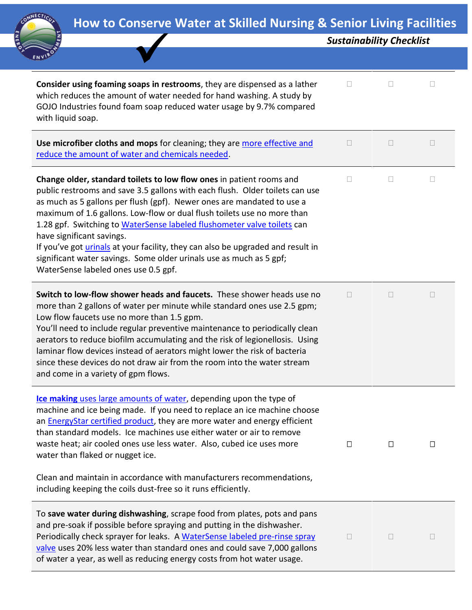

|                                                                                                                                                                                                                                                                                                                                                                                                                                                                                                                                                                                                                            | <b>Sustainability Checklist</b> |        |   |
|----------------------------------------------------------------------------------------------------------------------------------------------------------------------------------------------------------------------------------------------------------------------------------------------------------------------------------------------------------------------------------------------------------------------------------------------------------------------------------------------------------------------------------------------------------------------------------------------------------------------------|---------------------------------|--------|---|
|                                                                                                                                                                                                                                                                                                                                                                                                                                                                                                                                                                                                                            |                                 |        |   |
| Consider using foaming soaps in restrooms, they are dispensed as a lather<br>which reduces the amount of water needed for hand washing. A study by<br>GOJO Industries found foam soap reduced water usage by 9.7% compared<br>with liquid soap.                                                                                                                                                                                                                                                                                                                                                                            | П                               |        |   |
| Use microfiber cloths and mops for cleaning; they are more effective and<br>reduce the amount of water and chemicals needed.                                                                                                                                                                                                                                                                                                                                                                                                                                                                                               | $\overline{\phantom{a}}$        |        | u |
| Change older, standard toilets to low flow ones in patient rooms and<br>public restrooms and save 3.5 gallons with each flush. Older toilets can use<br>as much as 5 gallons per flush (gpf). Newer ones are mandated to use a<br>maximum of 1.6 gallons. Low-flow or dual flush toilets use no more than<br>1.28 gpf. Switching to WaterSense labeled flushometer valve toilets can<br>have significant savings.<br>If you've got <i>urinals</i> at your facility, they can also be upgraded and result in<br>significant water savings. Some older urinals use as much as 5 gpf;<br>WaterSense labeled ones use 0.5 gpf. | П                               |        | П |
| Switch to low-flow shower heads and faucets. These shower heads use no<br>more than 2 gallons of water per minute while standard ones use 2.5 gpm;<br>Low flow faucets use no more than 1.5 gpm.<br>You'll need to include regular preventive maintenance to periodically clean<br>aerators to reduce biofilm accumulating and the risk of legionellosis. Using<br>laminar flow devices instead of aerators might lower the risk of bacteria<br>since these devices do not draw air from the room into the water stream<br>and come in a variety of gpm flows.                                                             | $\overline{\phantom{a}}$        | $\Box$ | Ш |
| Ice making uses large amounts of water, depending upon the type of<br>machine and ice being made. If you need to replace an ice machine choose<br>an <b>EnergyStar certified product</b> , they are more water and energy efficient<br>than standard models. Ice machines use either water or air to remove<br>waste heat; air cooled ones use less water. Also, cubed ice uses more<br>water than flaked or nugget ice.<br>Clean and maintain in accordance with manufacturers recommendations,                                                                                                                           | $\Box$                          | $\Box$ | Ц |
| including keeping the coils dust-free so it runs efficiently.                                                                                                                                                                                                                                                                                                                                                                                                                                                                                                                                                              |                                 |        |   |
| To save water during dishwashing, scrape food from plates, pots and pans<br>and pre-soak if possible before spraying and putting in the dishwasher.<br>Periodically check sprayer for leaks. A WaterSense labeled pre-rinse spray<br>valve uses 20% less water than standard ones and could save 7,000 gallons<br>of water a year, as well as reducing energy costs from hot water usage.                                                                                                                                                                                                                                  | $\overline{\phantom{a}}$        |        | u |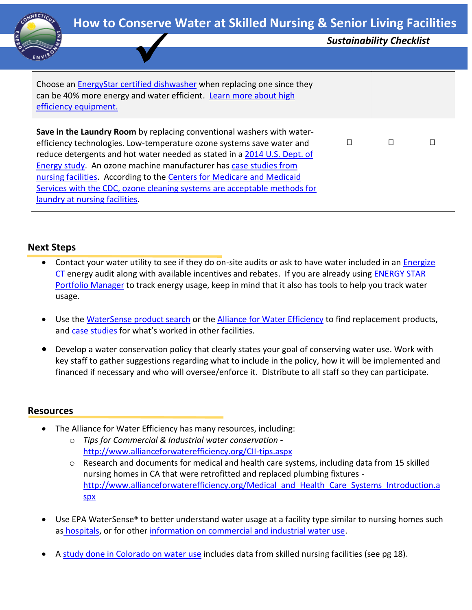

| <b>TIOW to conserve water at Skined Marship &amp; Schiol Living Facilities</b>                                                                                                                                                                                                                                                                                                                                                                                                           |                                 |  |   |
|------------------------------------------------------------------------------------------------------------------------------------------------------------------------------------------------------------------------------------------------------------------------------------------------------------------------------------------------------------------------------------------------------------------------------------------------------------------------------------------|---------------------------------|--|---|
|                                                                                                                                                                                                                                                                                                                                                                                                                                                                                          | <b>Sustainability Checklist</b> |  |   |
|                                                                                                                                                                                                                                                                                                                                                                                                                                                                                          |                                 |  |   |
|                                                                                                                                                                                                                                                                                                                                                                                                                                                                                          |                                 |  |   |
| Choose an <b>EnergyStar certified dishwasher</b> when replacing one since they<br>can be 40% more energy and water efficient. Learn more about high<br>efficiency equipment.                                                                                                                                                                                                                                                                                                             |                                 |  |   |
| Save in the Laundry Room by replacing conventional washers with water-<br>efficiency technologies. Low-temperature ozone systems save water and<br>reduce detergents and hot water needed as stated in a 2014 U.S. Dept. of<br>Energy study. An ozone machine manufacturer has case studies from<br>nursing facilities. According to the Centers for Medicare and Medicaid<br>Services with the CDC, ozone cleaning systems are acceptable methods for<br>laundry at nursing facilities. | П                               |  | Г |

## **Next Steps**

- Contact your water utility to see if they do on-site audits or ask to have water included in an Energize [CT](https://www.energizect.com/) energy audit along with available incentives and rebates. If you are already using [ENERGY STAR](https://www.energystar.gov/buildings/facility-owners-and-managers/existing-buildings/use-portfolio-manager/learn-how-portfolio-manager)  [Portfolio Manager](https://www.energystar.gov/buildings/facility-owners-and-managers/existing-buildings/use-portfolio-manager/learn-how-portfolio-manager) to track energy usage, keep in mind that it also has tools to help you track water usage.
- Use the [WaterSense product search](https://www.epa.gov/watersense/product-search) or the [Alliance for Water](http://www.allianceforwaterefficiency.org/1Column.aspx?id=2092&LangType=1033) Efficiency to find replacement products, and [case studies](https://19january2017snapshot.epa.gov/www3/watersense/commercial/types.html) for what's worked in other facilities.
- Develop a water conservation policy that clearly states your goal of conserving water use. Work with key staff to gather suggestions regarding what to include in the policy, how it will be implemented and financed if necessary and who will oversee/enforce it. Distribute to all staff so they can participate.

## **Resources**

- The Alliance for Water Efficiency has many resources, including:
	- o *Tips for Commercial & Industrial water conservation*  <http://www.allianceforwaterefficiency.org/CII-tips.aspx>
	- $\circ$  Research and documents for medical and health care systems, including data from 15 skilled nursing homes in CA that were retrofitted and replaced plumbing fixtures http://www.allianceforwaterefficiency.org/Medical and Health Care Systems Introduction.a [spx](http://www.allianceforwaterefficiency.org/Medical_and_Health_Care_Systems_Introduction.aspx)
- Use EPA WaterSense® to better understand water usage at a facility type similar to nursing homes such as [hospitals,](https://19january2017snapshot.epa.gov/www3/watersense/commercial/docs/factsheets/hospital_fact_sheet_508.pdf) or for other [information on commercial and industrial water use.](https://19january2017snapshot.epa.gov/www3/watersense/commercial/types.html)
- A [study done in Colorado on water](http://coloradowaterwise.org/Resources/Documents/ICI_toolkit/docs/Brendle%20Group%20and%20CWW%20ICI%20Benchmarking%20Study.pdf) use includes data from skilled nursing facilities (see pg 18).